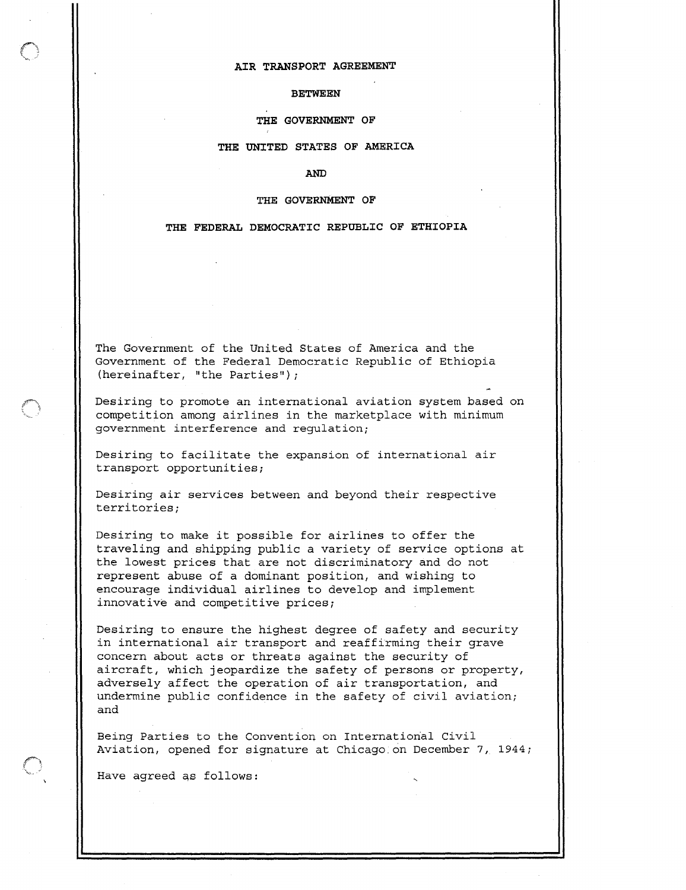#### AIR TRANSPORT AGREEMENT

## BETWEEN

### THE GOVERNMENT OF

#### THE UNITED STATES OF AMERICA

#### AND

#### THE GOVERNMENT OF

## THE FEDERAL DEMOCRATIC REPUBLIC OF ETHIOPIA

The Government of the United States of America and the Government of the Federal Democratic Republic of Ethiopia (hereinafter, "the Parties") ;

Desiring to promote an international aviation system based on competition among airlines in the marketplace with minimum government interference and regulation;

Desiring to facilitate the expansion of international air transport opportunities ;

Desiring air services between and beyond their respective territories ;

Desiring to make it possible for airlines to offer the traveling and shipping public a variety of service options at the lowest prices that are not discriminatory and do not represent abuse of a dominant position, and wishing to encourage individual airlines to develop and implement innovative and competitive prices ;

Desiring to ensure the highest degree of safety and security in international air transport and reaffirming their grave concern about acts or threats against the security of aircraft, which jeopardize the safety of persons or property, adversely affect the operation of air transportation, and undermine public confidence in the safety of civil aviation; and

Being Parties to the Convention on International Civil Aviation, opened for signature at Chicago on December 7, 1944;

Have agreed as follows :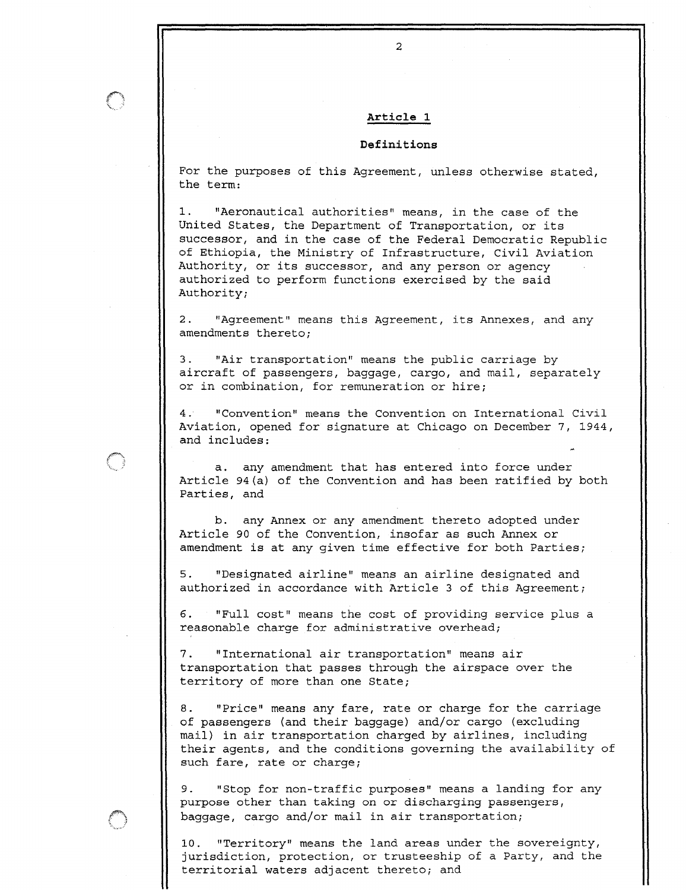2

#### Definitions

For the purposes of this Agreement, unless otherwise stated, the term :

1 . "Aeronautical authorities" means, in the case of the United States, the Department of Transportation, or its successor, and in the case of the Federal Democratic Republic of Ethiopia, the Ministry of Infrastructure, Civil Aviation Authority, or its successor, and any person or agency authorized to perform functions exercised by the said Authority;

2 . "Agreement" means this Agreement, its Annexes, and any amendments thereto;

3 . "Air transportation" means the public carriage by aircraft of passengers, baggage, cargo, and mail, separately or in combination, for remuneration or hire;

<sup>4</sup> . "Convention" means the Convention on International Civil Aviation, opened for signature at Chicago on December 7, 1944, and includes :

a. any amendment that has entered into force under Article 94(a) of the Convention and has been ratified by both Parties, and

b. any Annex or any amendment thereto adopted under Article 90 of the Convention, insofar as such Annex or amendment is at any given time effective for both Parties;

5 . "Designated airline" means an airline designated and authorized in accordance with Article 3 of this Agreement;

6 . "Full cost" means the cost of providing service plus a reasonable charge for administrative overhead;

7 . "International air transportation" means air transportation that passes through the airspace over the territory of more than one State;

8 . "Price" means any fare, rate or charge for the carriage of passengers (and their baggage) and/or cargo (excluding mail) in air transportation charged by airlines, including their agents, and the conditions governing the availability of such fare, rate or charge;

9 . "Stop for non-traffic purposes" means a landing for any purpose other than taking on or discharging passengers, baggage, cargo and/or mail in air transportation;

10 . "Territory" means the land areas under the sovereignty, jurisdiction, protection, or trusteeship of a Party, and the territorial waters adjacent thereto; and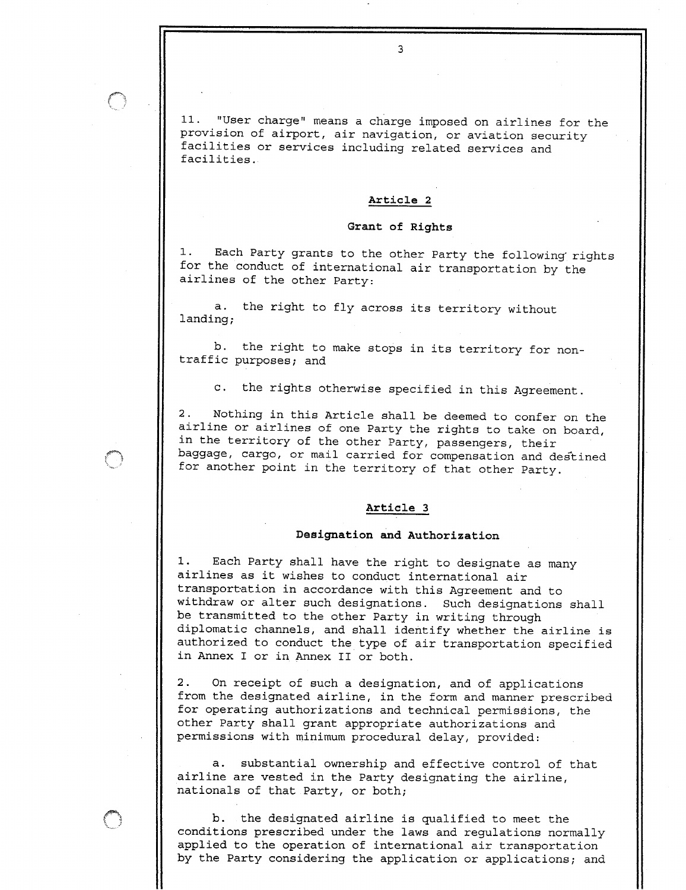<sup>11</sup> . "User charge" means <sup>a</sup> charge imposed on airlines for the provision of airport, air navigation, or aviation security facilities or services including related services and facilities .

### Article 2

#### Grant of Rights

1 . Each Party grants to the other Party the following' rights for the conduct of international air transportation by the airlines of the other Party:

a. the right to fly across its territory without landing;

b. the right to make stops in its territory for nontraffic purposes; and

c. the rights otherwise specified in this Agreement.

2 . Nothing in this Article shall be deemed to confer on the airline or airlines of one Party the rights to take on board, in the territory of the other Party, passengers, their baggage, cargo, or mail carried for compensation and destined for another point in the territory of that other Party.

# Article 3

## Designation and Authorization

1 . Each Party shall have the right to designate as many airlines as it wishes to conduct international air transportation in accordance with this Agreement and to withdraw or alter such designations . Such designations shall be transmitted to the other Party in writing through diplomatic channels, and shall identify whether the airline is authorized to conduct the type of air transportation specified in Annex I or in Annex II or both.

2 . On receipt of such a designation, and of applications from the designated airline, in the form and manner prescribed for operating authorizations and technical permissions, the other Party shall grant appropriate authorizations and permissions with minimum procedural delay, provided :

a. substantial ownership and effective control of that airline are vested in the Party designating the airline, nationals of that Party, or both;

b. the designated airline is qualified to meet the conditions prescribed under the laws and regulations normally applied to the operation of international air transportation by the Party considering the application or applications; and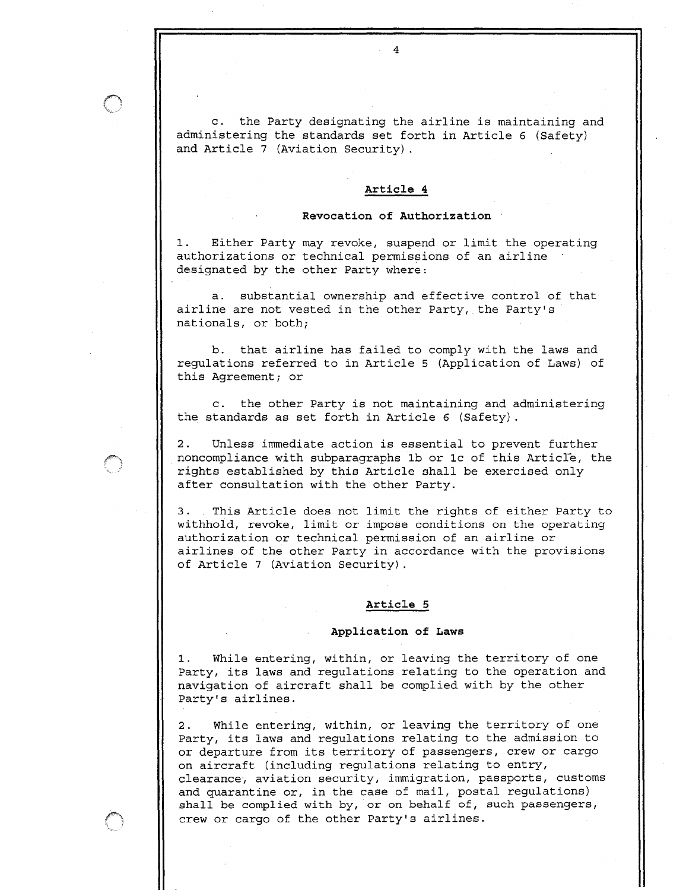4 c . the Party designating the airline is maintaining and administering the standards set forth in Article 6 (Safety) and Article 7 (Aviation Security) . Article 4 Revocation of Authorization 1 . Either Party may revoke, suspend or limit the operating authorizations or technical permissions of an airline designated by the other Party where :

a. substantial ownership and effective control of that airline are not vested in the other Party, the Party's nationals, or both;

b. that airline has failed to comply with the laws and regulations referred to in Article 5 (Application of Laws) of this Agreement; or

c . the other Party is not maintaining and administering the standards as set forth in Article 6 (Safety) .

2 . Unless immediate action is essential to prevent further noncompliance with subparagraphs 1b or 1c of this Article, the rights established by this Article shall be exercised only after consultation with the other Party.

3 . This Article does not limit the rights of either Party to withhold, revoke, limit or impose conditions on the operating authorization or technical permission of an airline or airlines of the other Party in accordance with the provisions of Article 7 (Aviation Security) .

## Article 5

## Application of Laws

1 . While entering, within, or leaving the territory of one Party, its laws and regulations relating to the operation and navigation of aircraft shall be complied with by the other Party's airlines .

2 . While entering, within, or leaving the territory of one Party, its laws and regulations relating to the admission to or departure from its territory of passengers, crew or cargo on aircraft (including regulations relating to entry, clearance, aviation security, immigration, passports, customs and quarantine or, in the case of mail, postal regulations) shall be complied with by, or on behalf of, such passengers, crew or cargo of the other Party's airlines .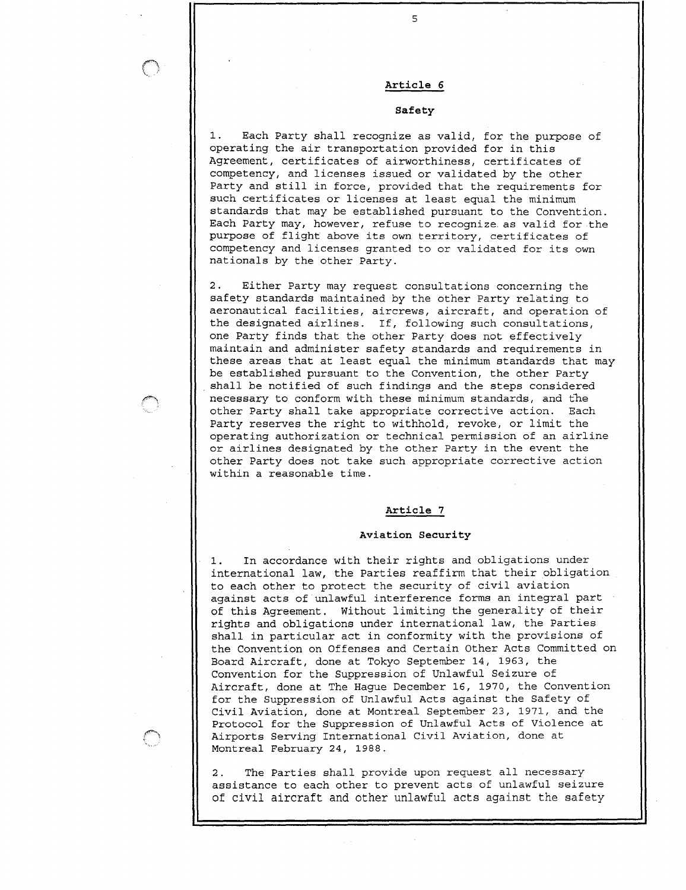5

# Safety

1 . Each Party shall recognize as valid, for the purpose of operating the air transportation provided for in this Agreement, certificates of airworthiness, certificates of competency, and licenses issued or validated by the other Party and still in force, provided that the requirements for such certificates or licenses at least equal the minimum standards that may be established pursuant to the Convention . Each Party may, however, refuse to recognize as valid for the purpose of flight' above its own territory, certificates of competency and licenses granted to or validated for its own nationals by the other Party .

2 . Either Party may request consultations concerning the safety standards maintained by the other Party relating to aeronautical facilities, aircrews, aircraft, and operation of the designated airlines. If, following such consultations, one Party finds that the other Party does not effectively maintain and administer safety standards and requirements in these areas that at least equal the minimum standards that may be established pursuant to the Convention, the other Party shall be notified of such findings and the steps considered necessary to conform with these minimum standards, and the other Party shall take appropriate corrective action. Each Party reserves the right to withhold, revoke, or limit the operating authorization or technical permission of an airline or airlines designated by the other Party in the event the other Party does not take such appropriate corrective action within a reasonable time .

#### Article 7

#### Aviation Security

1 . In accordance with their rights and obligations under international law, the Parties reaffirm that their obligation to each other to protect the security of civil aviation against acts of unlawful interference forms an integral part of this Agreement. Without limiting the generality of their rights and obligations under international law, the Parties shall in particular act in conformity with the provisions of the Convention on Offenses and Certain Other Acts Committed on Board Aircraft, done at Tokyo September 14, 1963, the Convention for the Suppression of Unlawful Seizure of Aircraft, done at The Hague December 16, 1970, the Convention for the Suppression of Unlawful Acts against the Safety of Civil Aviation, done at Montreal September 23, 1971, and the Protocol for the Suppression of Unlawful Acts of violence at Airports Serving International Civil Aviation, done at Montreal February 24, 1988 .

2 . The Parties shall provide upon request all necessary assistance to each other to prevent acts of unlawful seizure of civil aircraft and other unlawful acts against the safety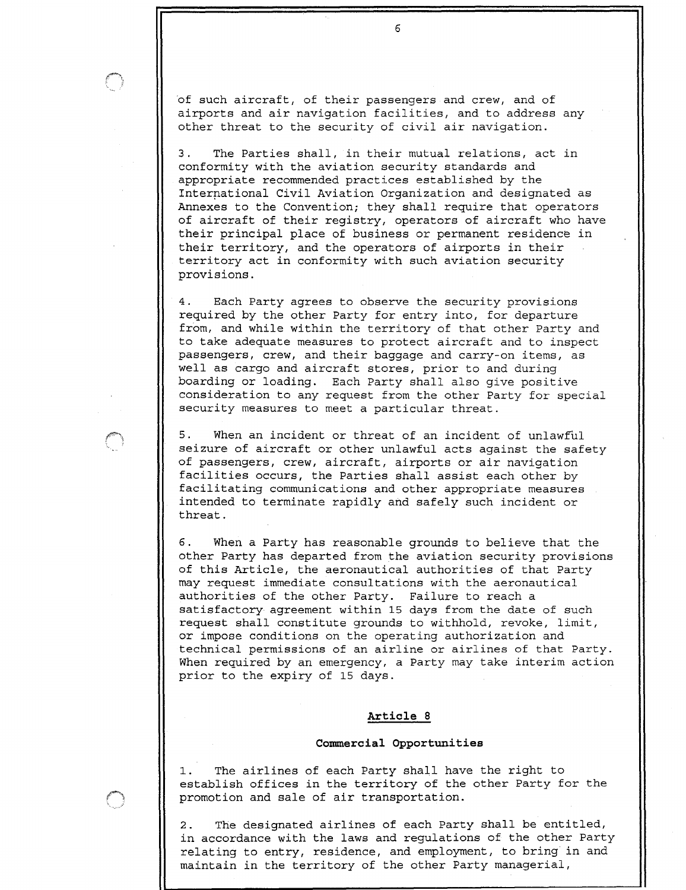of such aircraft, of their passengers and crew, and of airports and air navigation facilities, and to address any other threat to the security of civil air navigation .

3 . The Parties shall, in their mutual relations, act in conformity with the aviation security standards and appropriate recommended practices established by the International Civil Aviation organization and designated as Annexes to the Convention; they shall require that operators of aircraft of their registry, operators of aircraft who have their principal place of business or permanent residence in their territory, and the operators of airports in their territory act in conformity with such aviation security provisions .

4 . Each Party agrees to observe the security provisions required by the other Party for entry into, for departure from, and while within the territory of that other Party and to take adequate measures to protect aircraft and to inspect passengers, crew, and their baggage and carry-on items, as well as cargo and aircraft stores, prior to and during boarding or loading. Each Party shall also give positive consideration to any request from the other Party for special security measures to meet a particular threat .

5 . When an incident or threat of an incident of unlawful seizure of aircraft or other unlawful acts against the safety of passengers, crew, aircraft, airports or air navigation facilities occurs, the Parties shall assist each other by facilitating communications and other appropriate measures intended to terminate rapidly and safely such incident or threat .

6 . When a Party has reasonable grounds to believe that the other Party has departed from the aviation security provisions of this Article, the aeronautical authorities of that Party may request immediate consultations with the aeronautical authorities of the other Party. Failure to reach a satisfactory agreement within 15 days from the date of such request shall constitute grounds to withhold, revoke, limit, or impose conditions on the operating authorization and technical permissions of an airline or airlines of that Party . When required by an emergency, a Party may take interim action prior to the expiry of 15 days .

# Article 8

#### Commercial Opportunities

1 . The airlines of each Party shall have the right to establish offices in the territory of the other Party for the promotion and sale of air transportation .

2. The designated airlines of each Party shall be entitled, in accordance with the laws and regulations of the other Party relating to entry, residence, and employment, to bring in and maintain in the territory of the other Party managerial,

6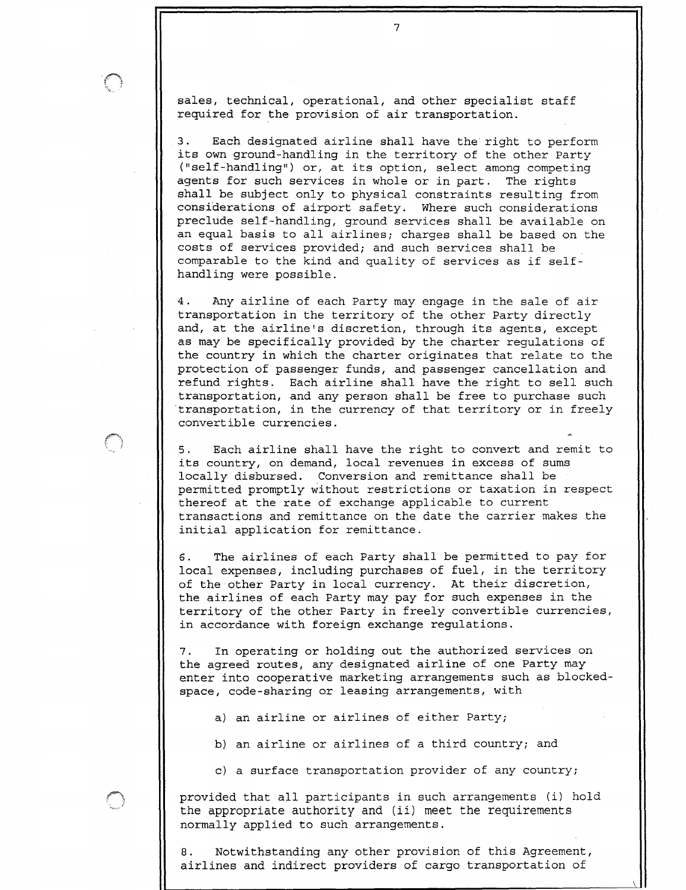sales, technical, operational, and other specialist staff required for the provision of air transportation .

 

7

3 . Each designated airline shall have the right to perform its own ground-handling in the territory of the other Party ("self-handling") or, at its option, select among competing agents for such services in whole or in part. The rights shall be subject only to physical constraints resulting from considerations of airport safety . Where such considerations preclude self-handling, ground services shall be available on an equal basis to all airlines; charges shall be based on the costs of services provided; and such services shall be comparable to the kind and quality of services as if selfhandling were possible .

4 . Any airline of each Party may engage in the sale of air transportation in the territory of the other Party directly and, at the airline's discretion, through its agents, except as may be specifically provided by the charter regulations of the country in which the charter originates that relate to the protection of passenger funds, and passenger cancellation and refund rights. Each airline shall have the right to sell such transportation, and any person shall be free to purchase such 'transportation, in the currency of that territory or in freely convertible currencies .

5 . Each airline shall have the right to convert and remit to its country, on demand, local revenues in excess of sums locally disbursed. Conversion and remittance shall be permitted promptly without restrictions or taxation in respect thereof at the rate of exchange applicable to current transactions and remittance on the date the carrier makes the initial application for remittance .

6 . The airlines of each Party shall be permitted to pay for local expenses, including purchases of fuel, in the territory of the other Party in local currency . At their discretion, the airlines of each Party may pay for such expenses in the territory of the other Party in freely convertible currencies, in accordance with foreign exchange regulations .

7 . In operating or holding out the authorized services on the agreed routes, any designated airline of one Party may enter into cooperative marketing arrangements such as blockedspace, code-sharing or leasing arrangements, with

- a) an airline or airlines of either Party;
- b) an airline or airlines of a third country; and
- c) a surface transportation provider of any country;

provided that all participants in such arrangements (i) hold the appropriate authority and (ii) meet the requirements normally applied to such arrangements .

8 . Notwithstanding any other provision of this Agreement, airlines and indirect providers of cargo transportation of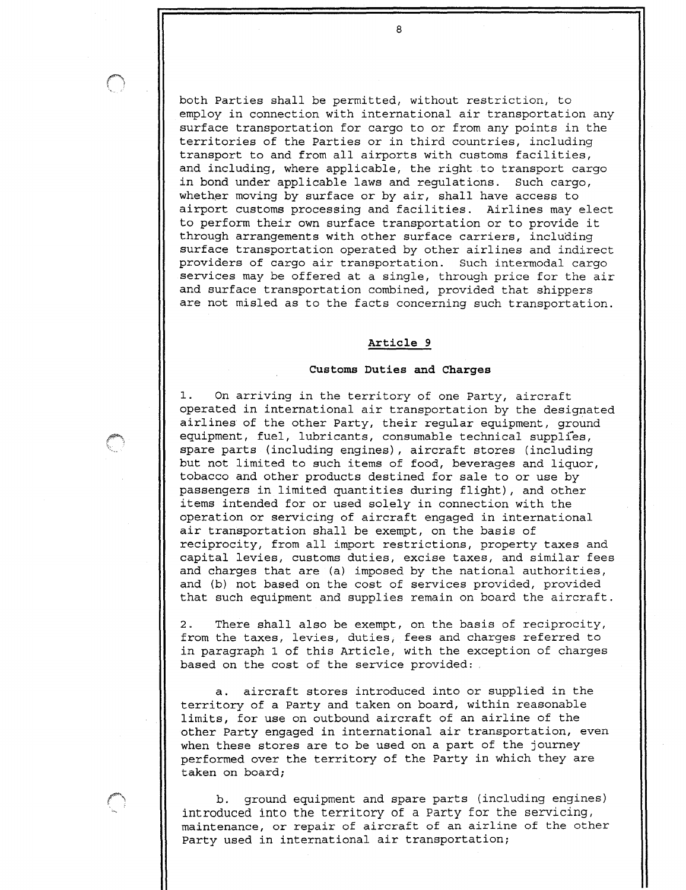both Parties shall be permitted, without restriction, to employ in connection with international air transportation any surface transportation for cargo to or from any points in the territories of the Parties or in third countries, including transport to and from all airports with customs facilities, and including, where applicable, the right to transport cargo in bond under applicable laws and regulations. Such cargo, whether moving by surface or by air, shall have access to airport customs processing and facilities . Airlines may elect to perform their own surface transportation or to provide it through arrangements with other surface carriers, including surface transportation operated by other airlines and indirect providers of cargo air transportation. Such intermodal cargo services may be offered at a single, through price for the air and surface transportation combined, provided that shippers are not misled as to the facts concerning such transportation.

## Article 9

## Customs Duties and Charges

1 . On arriving in the territory of one Party, aircraft operated in international air transportation by the designated airlines of the other Party, their regular equipment, ground equipment, fuel, lubricants, consumable technical supplies, spare parts (including engines), aircraft stores (including but not limited to such items of food, beverages and liquor, tobacco and other products destined for sale to or use by passengers in limited quantities during flight), and other items intended for or used solely in connection with the operation or servicing of aircraft engaged in international air transportation shall be exempt, on the basis of reciprocity, from all import restrictions, property taxes and capital levies, customs duties, excise taxes, and similar fees and charges that are (a) imposed by the national authorities, and (b) not based on the cost of services provided, provided that such equipment and supplies remain on board the aircraft .

2. There shall also be exempt, on the basis of reciprocity, from the taxes, levies, duties, fees and charges referred to in paragraph 1 of this Article, with the exception of charges based on the cost of the service provided:

a . aircraft stores introduced into or supplied in the territory of a Party and taken on board, within reasonable limits, for use on outbound aircraft of an airline of the other Party engaged in international air transportation, even when these stores are to be used on a part of the journey performed over the territory of the Party in which they are taken on board;

b. ground equipment and spare parts (including engines) introduced into the territory of a Party for the servicing, maintenance, or repair of aircraft of an airline of the other Party used in international air transportation;

8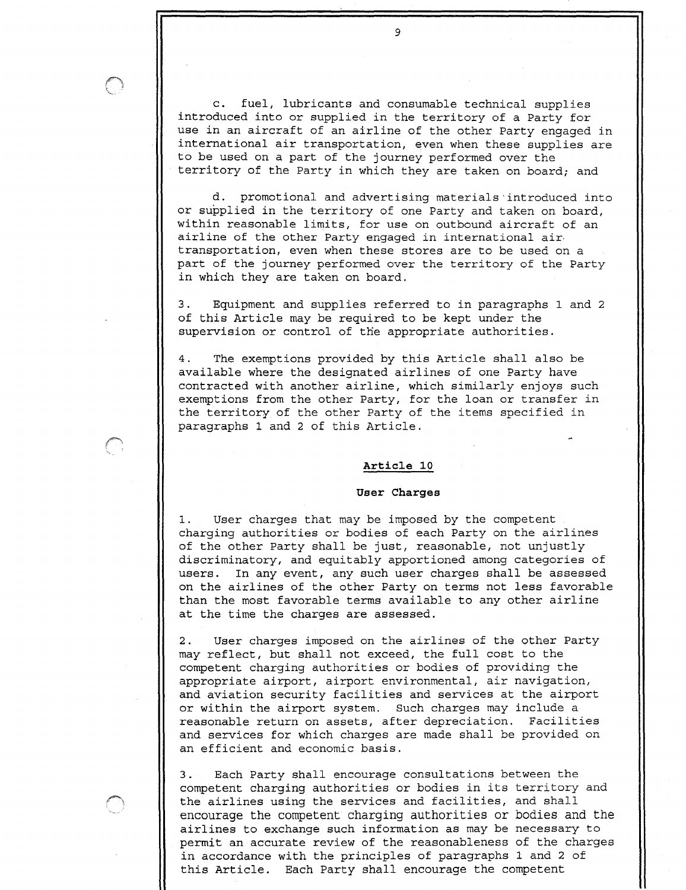c. fuel, lubricants and consumable technical supplies introduced into or supplied in the territory of a Party for use in an aircraft of an airline of the other Party engaged in international air transportation, even when these supplies are to be used on a part of the journey performed over the territory of the Party in which they are taken on board; and

d. promotional and advertising materials introduced into or supplied in the territory of one Party and taken on board, within reasonable limits, for use on outbound aircraft of an airline of the other Party engaged in international air, transportation, even when these stores are to be used on a part of the journey performed over the territory of the Party in which they are taken on board.

3 . Equipment and supplies referred to in paragraphs 1 and 2 of this Article may be required to be kept under the supervision or control of the appropriate authorities .

4 . The exemptions provided by this Article shall also be available where the designated airlines of one Party have contracted with another airline, which similarly enjoys such exemptions from the other Party, for the loan or transfer in the territory of the other Party of the items specified in paragraphs 1 and 2 of this Article .

#### Article 10

#### User Charges

1 . User charges that may be imposed by the competent charging authorities or bodies of each Party on the airlines of the other Party shall be just, reasonable, not unjustly discriminatory, and equitably apportioned among categories of users. In any event, any such user charges shall be assessed on the airlines of the other Party on terms not less favorable than the most favorable terms available to any other airline at the time the charges are assessed .

2 . User charges imposed on the airlines of the other Party may reflect, but shall not exceed, the full cost to the competent charging authorities or bodies of providing the appropriate airport, airport environmental, air navigation, and aviation security facilities and services at the airport or within the airport system. Such charges may include a reasonable return on assets, after depreciation . Facilities and services for which charges are made shall be provided on an efficient and economic basis .

3 . Each Party shall encourage consultations between the competent charging authorities or bodies in its territory and the airlines using the services and facilities, and shall encourage the competent charging authorities or bodies and the airlines to exchange such information as may be necessary to permit an accurate review of the reasonableness of the charges in accordance with the principles of paragraphs 1 and 2 of this Article. Each Party shall encourage the competent

9

 $\overline{\phantom{a}}$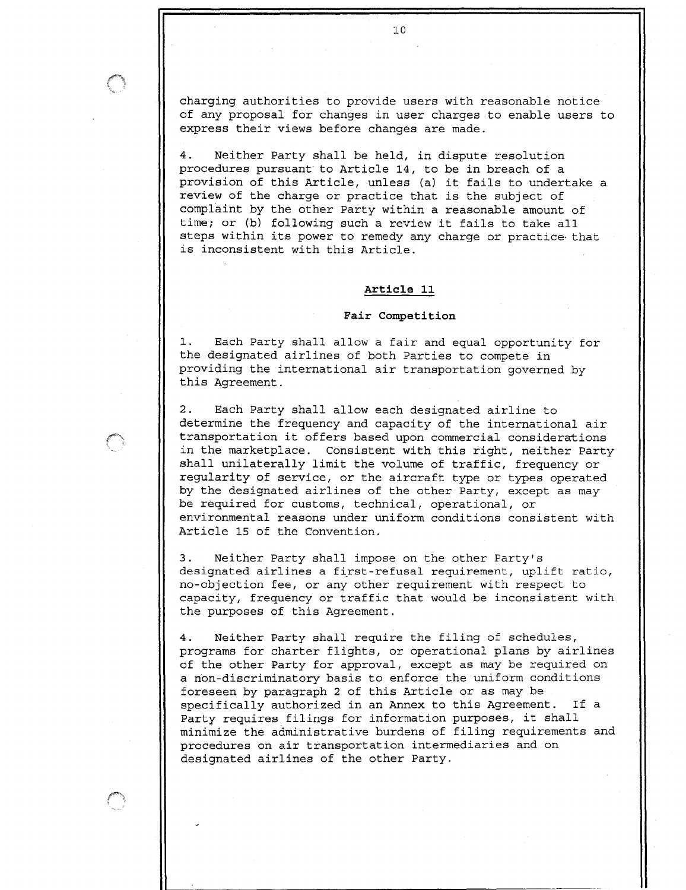charging authorities to provide users with reasonable notice of any proposal for changes in user charges to enable users to express their views before changes are made .

4 . Neither Party shall be held, in dispute resolution procedures pursuant' to Article 14, to be in breach of a provision of this Article, unless (a) it fails to undertake a review of the charge or practice that is the subject of complaint by the other Party within a reasonable amount of time; or (b) following such a review it fails to take all steps within its power to remedy any charge or practice-that is inconsistent with this Article .

## Article 11

### Fair Competition

1 . Each Party shall allow a fair and equal opportunity for the designated airlines of both Parties to compete in providing the international air transportation governed by this Agreement .

2 . Each Party shall allow each designated airline to determine the frequency and capacity of the international air transportation it offers based upon commercial considerations in the marketplace. Consistent with this right, neither Party shall unilaterally limit the volume of traffic, frequency or regularity of service, or the aircraft type or types operated by the designated airlines of the other Party, except as may be required for customs, technical, operational, or environmental reasons under uniform conditions consistent with Article 15 of the Convention.

3 . Neither Party shall impose on the other Party's designated airlines a first-refusal requirement, uplift ratio, no-objection fee, or any other requirement with respect to capacity, frequency or traffic that would be inconsistent with the purposes of this Agreement .

4 . Neither Party shall require the filing of schedules, programs for charter flights, or operational plans by airlines of the other Party for approval, except as may be required on a non-discriminatory basis to enforce the uniform conditions foreseen by paragraph 2 of this Article or as may be specifically authorized in an Annex to this Agreement. If a Party requires filings for information purposes, it shall minimize the administrative burdens of filing requirements and procedures on air transportation intermediaries and on designated airlines of the other Party.

 $\overline{a}$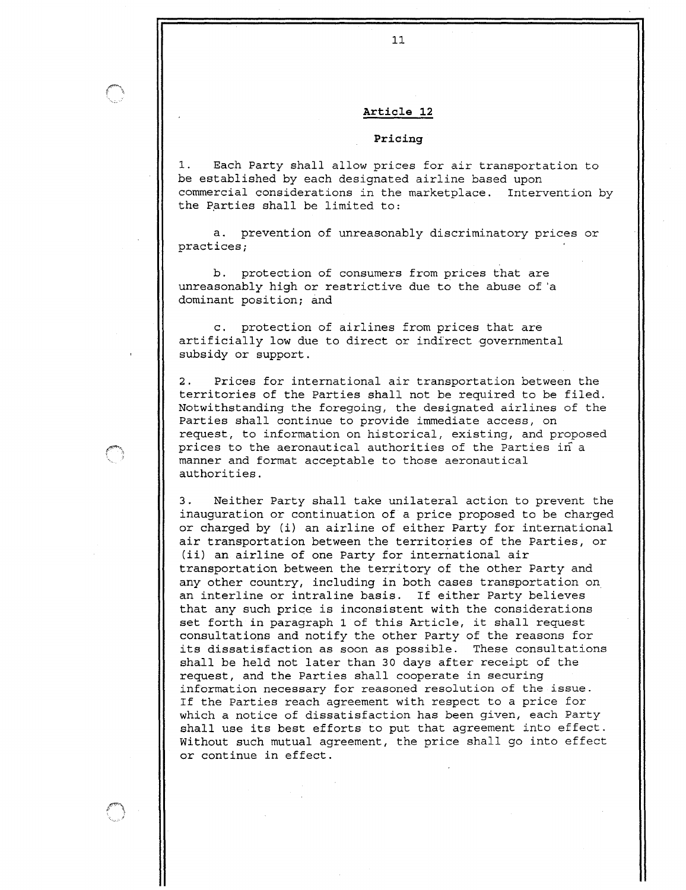11

#### Pricing

1 . Each Party shall allow prices for air transportation to be established by each designated airline based upon commercial considerations in the marketplace. Intervention by the Parties shall be limited to:

a. prevention of unreasonably discriminatory prices or practices ;

b. protection of consumers from prices that are unreasonably high or restrictive due to the abuse of 'a dominant position; and

c. protection of airlines from prices that are artificially low due to direct or indirect governmental subsidy or support .

2 . Prices for international air transportation between the territories of the Parties shall not be required to be filed. Notwithstanding the foregoing, the designated airlines of the Parties shall continue to provide immediate access, on request, to information on historical, existing, and proposed prices to the aeronautical authorities of the Parties in a manner and format acceptable to those aeronautical authorities .

3 . Neither Party shall take unilateral action to prevent the inauguration or continuation of a price proposed to be charged or charged by (i) an airline of either Party for international air transportation between the territories of the Parties, or (ii) an airline of one Party for international air transportation between the territory of the other Party and any other country, including in both cases transportation on an interline or intraline basis. If either Party believes that any such price is inconsistent with the considerations set forth in paragraph 1 of this Article, it shall request consultations and notify the other Party of the reasons for its dissatisfaction as soon as possible. These consultations shall be held not later than 30 days after receipt of the request, and the Parties shall cooperate in securing information necessary for reasoned resolution of the issue . If the Parties reach agreement with respect to a price for which a notice of dissatisfaction has been given, each Party shall use its best efforts to put that agreement into effect . Without such mutual agreement, the price shall go into effect or continue in effect .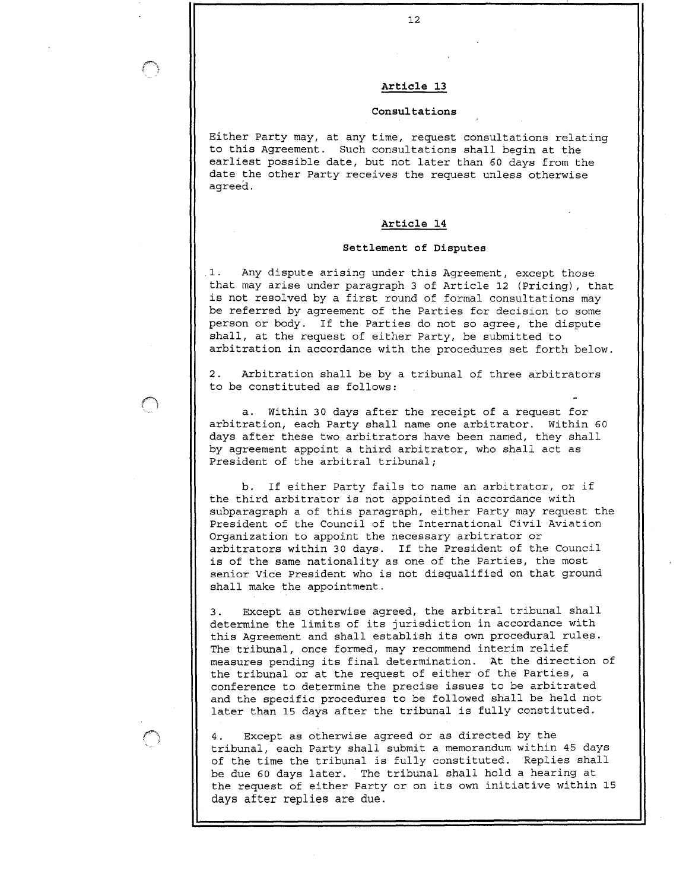## Consultations

Either Party may, at any time, request consultations relating to this Agreement. Such consultations shall begin at the earliest possible date, but not later than 60 days from the date the other Party receives the request unless otherwise agreed .

## Article 14

## Settlement of Disputes

1 . Any dispute arising under this Agreement, except those that may arise under paragraph 3 of Article 12 (Pricing), that is not resolved by a first round of formal consultations may be referred by agreement of the Parties for decision to some person or body . If the Parties do not so agree, the dispute shall, at the request of either Party, be submitted to arbitration in accordance with the procedures set forth below .

2 . Arbitration shall be by a tribunal of three arbitrators to be constituted as follows :

a. Within 30 days after the receipt of a request for arbitration, each Party shall name one arbitrator. Within 60 days after these two arbitrators have been named, they shall by agreement appoint a third arbitrator, who shall act as President of the arbitral tribunal;

b. If either Party fails to name an arbitrator, or if the third arbitrator is not appointed in accordance with subparagraph a of this paragraph, either Party may request the President of the Council of the International Civil Aviation Organization to appoint the necessary arbitrator or arbitrators within 30 days . If the President of the Council is of the same nationality as one of the Parties, the most senior Vice President who is not disqualified on that ground shall make the appointment .

3 . Except as otherwise agreed, the arbitral tribunal shall determine the limits of its jurisdiction in accordance with this Agreement and shall establish its own procedural rules . The tribunal, once formed, may recommend interim relief measures pending its final determination . At the direction of the tribunal or at the request of either of the Parties, a conference to determine the precise issues to be arbitrated and the specific procedures to be followed shall be held not later than 15 days after the tribunal is fully constituted.

4 . Except as otherwise agreed or as directed by the tribunal, each Party shall submit a memorandum within 45 days of the time the tribunal is fully constituted. Replies shall be due 60 days later. The tribunal shall hold a hearing at the request of either Party or on its own initiative within 15 days after replies are due .

12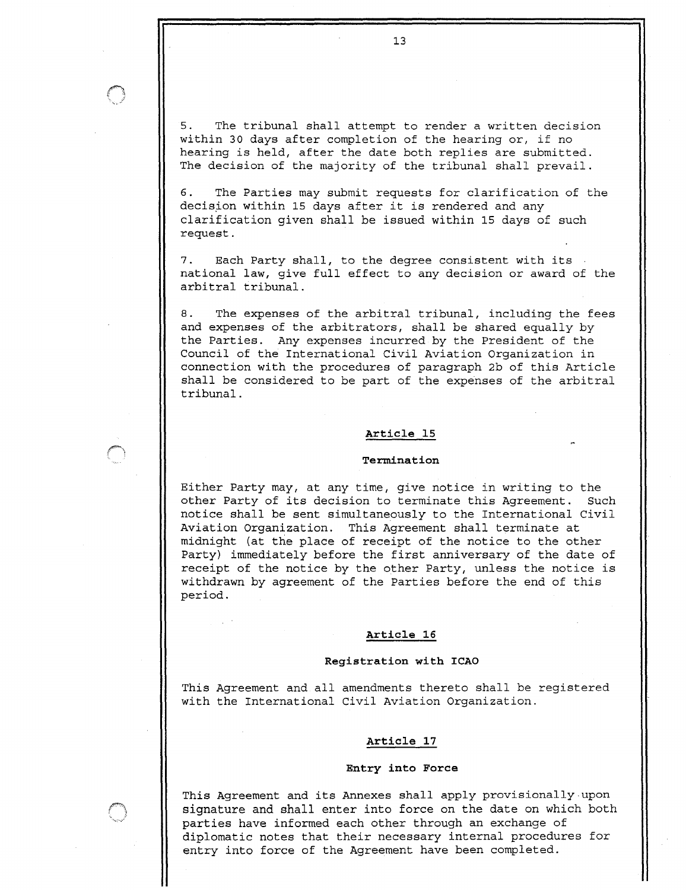5 . The tribunal shall attempt to render a written decision within 30 days after completion of the hearing or, if no hearing is held, after the date both replies are submitted. The decision of the majority of the tribunal shall prevail .

6 . The Parties may submit requests for clarification of the decision within 15 days after it is rendered and any clarification given shall be issued within 15 days of such request .

7 . Each Party shall, to the degree consistent with its national law, give full effect to any decision or award of the arbitral tribunal .

8 . The expenses of the arbitral tribunal, including the fees and expenses of the arbitrators, shall be shared equally by the Parties. Any expenses incurred by the President of the Council of the International Civil Aviation Organization in connection with the procedures of paragraph 2b of this Article shall be considered to be part of the expenses of the arbitral tribunal .

### Article 15

#### Termination

Either Party may, at any time, give notice in writing to the other Party of its decision to terminate this Agreement. notice shall be sent simultaneously to the International Civil Aviation Organization. This Agreement shall terminate at midnight (at the place of receipt of the notice to the other Party) immediately before the first anniversary of the date of receipt of the notice by the other Party, unless the notice is withdrawn by agreement of the Parties before the end of this period .

#### Article 16

#### Registration with ICAO

This Agreement and all amendments thereto shall be registered with the International Civil Aviation Organization .

#### Article 17

### Entry into Force

This Agreement and its Annexes shall apply provisionally upon signature and shall enter into force on the date on which both parties have informed each other through an exchange of diplomatic notes that their necessary internal procedures for entry into force of the Agreement have been completed.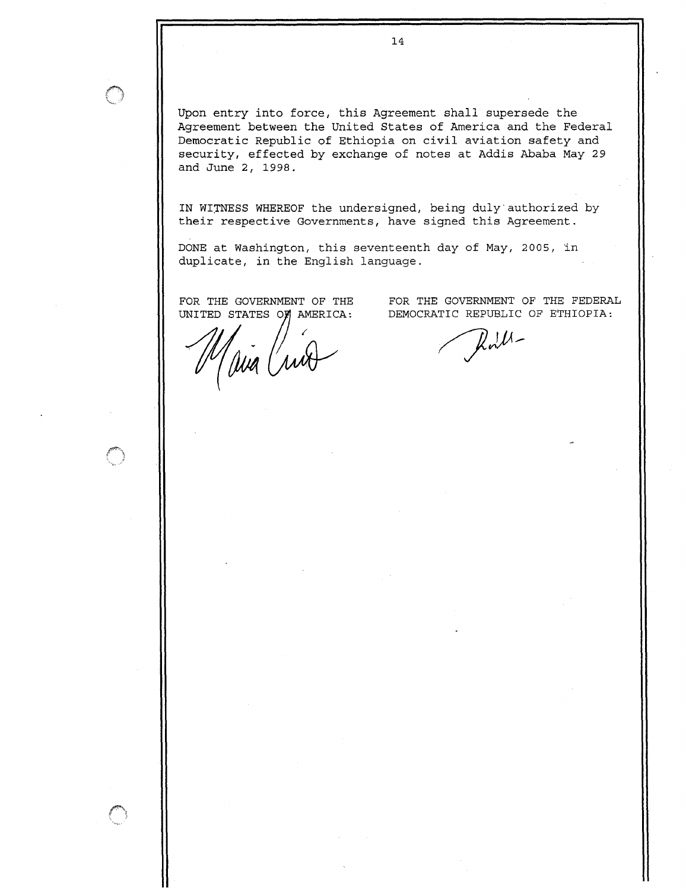| 14                                                                                                                                                                                                                                                                                |
|-----------------------------------------------------------------------------------------------------------------------------------------------------------------------------------------------------------------------------------------------------------------------------------|
|                                                                                                                                                                                                                                                                                   |
|                                                                                                                                                                                                                                                                                   |
| Upon entry into force, this Agreement shall supersede the<br>Agreement between the United States of America and the Federal<br>Democratic Republic of Ethiopia on civil aviation safety and<br>security, effected by exchange of notes at Addis Ababa May 29<br>and June 2, 1998. |
| IN WITNESS WHEREOF the undersigned, being duly authorized by<br>their respective Governments, have signed this Agreement.                                                                                                                                                         |
| DONE at Washington, this seventeenth day of May, 2005, in<br>duplicate, in the English language.                                                                                                                                                                                  |
| FOR THE GOVERNMENT OF THE FEDERAL<br>FOR THE GOVERNMENT OF THE<br>DEMOCRATIC REPUBLIC OF ETHIOPIA:<br>UNITED STATES OF AMERICA:<br>Mais Vivo<br>$\frac{1}{\sqrt{2}}$                                                                                                              |
|                                                                                                                                                                                                                                                                                   |
|                                                                                                                                                                                                                                                                                   |
|                                                                                                                                                                                                                                                                                   |
| the control of the con-                                                                                                                                                                                                                                                           |
| $\mathcal{L}_{\rm{max}}$ and $\mathcal{L}_{\rm{max}}$<br>$\mathcal{L}(\mathcal{L}(\mathcal{L}))$ and $\mathcal{L}(\mathcal{L}(\mathcal{L}))$ . Then                                                                                                                               |
| $\mathcal{L}(\mathcal{L}(\mathcal{L}))$ and $\mathcal{L}(\mathcal{L}(\mathcal{L}))$ . The set of $\mathcal{L}(\mathcal{L})$                                                                                                                                                       |
| $\mathcal{L}_{\text{max}}$ and $\mathcal{L}_{\text{max}}$ .<br>$\mathcal{L}(\mathcal{L}^{\mathcal{L}})$ and $\mathcal{L}^{\mathcal{L}}$ and $\mathcal{L}^{\mathcal{L}}$ and $\mathcal{L}^{\mathcal{L}}$                                                                           |

**Contract Contract Contract**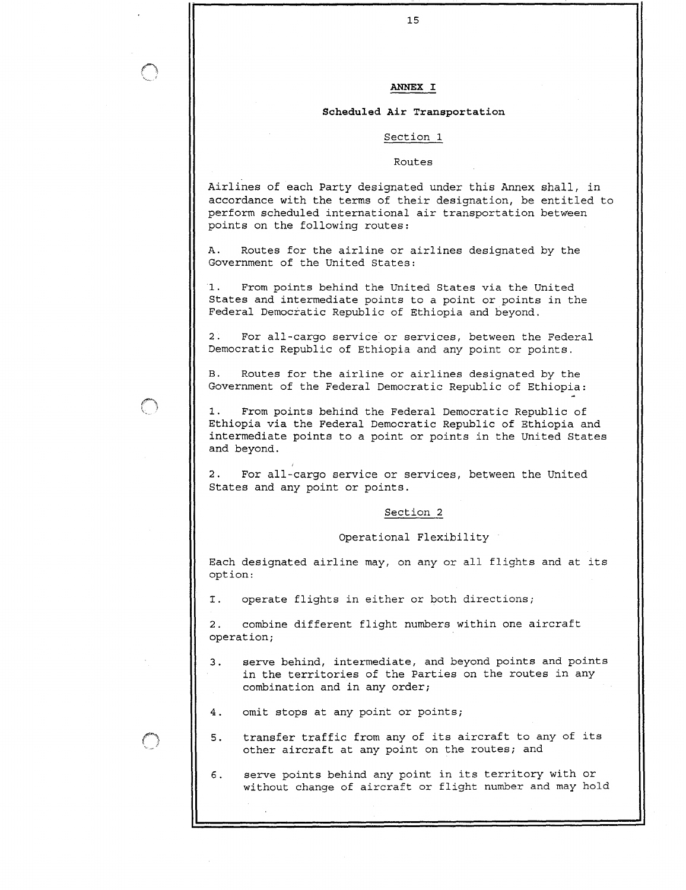## ANNEX I

## Scheduled Air Transportation

## Section <sup>1</sup>

#### Routes

Airlines of each Party designated under this Annex shall, in accordance with the terms of their designation, be entitled to perform scheduled international air transportation between points on the following routes :

A . Routes for the airline or airlines designated by the Government of the United States :

1 . From points behind the United States via the United States and intermediate points to a point or points in the Federal Democratic Republic of Ethiopia and beyond .

 $2$  . For all-cargo service or services, between the Federal Democratic Republic of Ethiopia and any point or points .

 $B$  . Routes for the airline or airlines designated by the Government of the Federal Democratic Republic of Ethiopia :

1 . From points behind the Federal Democratic Republic of Ethiopia via the Federal Democratic Republic of Ethiopia and intermediate points to a point or points in the United States and beyond .

 $2$ . For all-cargo service or services, between the United States and any point or points .

#### Section 2

#### Operational Flexibility

Each designated airline may, on any or all flights and at its option :

1 . operate flights in either or both directions ;

2. combine different flight numbers within one aircraft operation ;

- 3 . serve behind, intermediate, and beyond points and points in the territories of the Parties on the routes in any combination and in any order;
- 4 . omit stops at any point or points;
- 5 . transfer traffic from any of its aircraft to any of its other aircraft at any point on the routes; and
- 6 . serve points behind any point in its territory with or without change of aircraft or flight number and may hold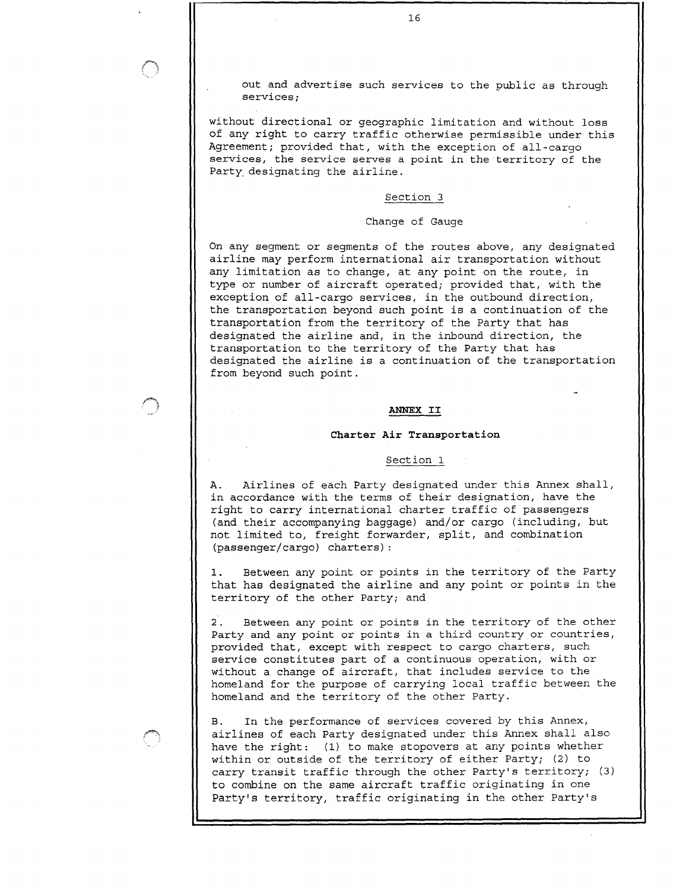out and advertise such services to the public as through services ;

without directional or geographic limitation and without loss of any right to carry traffic otherwise permissible under this Agreement; provided that, with the exception of all-cargo services, the service serves a point in the territory of the Party, designating the airline .

# Section 3

## Change of Gauge

On any segment or segments of the routes above, any designated airline may perform international air transportation without any limitation as to change, at any point on the route, in type or number of aircraft operated; provided that, with the exception of all-cargo services, in the outbound direction, the transportation beyond such point is a continuation of the transportation from the territory of the Party that has designated the airline and, in the inbound direction, the transportation to the territory of the Party that has designated the airline is a continuation of the transportation from beyond such point .

#### ANNEX II

#### Charter Air Transportation

### Section 1

A. Airlines of each Party designated under this Annex shall, in accordance with the terms of their designation, have the right to carry international charter traffic of passengers (and their accompanying baggage) and/or cargo (including, but not limited to, freight forwarder, split, and combination (passenger/cargo) charters) :

1. Between any point or points in the territory of the Party that has designated the airline and any point or points in the territory of the other Party; and

2 . Between any point or points in the territory of the other Party and any point or points in a third country or countries, provided that, except with respect to cargo charters, such service constitutes part of a continuous operation, with or without a change of aircraft, that includes service to the homeland for the purpose of carrying local traffic between the homeland and the territory of the other Party.

 $B$ . In the performance of services covered by this Annex, airlines of each Party designated under this Annex shall also have the right: (1) to make stopovers at any points whether within or outside of the territory of either Party;  $(2)$  to carry transit traffic through the other Party's territory; (3) to combine on the same aircraft traffic originating in one Party's territory, traffic originating in the other Party's